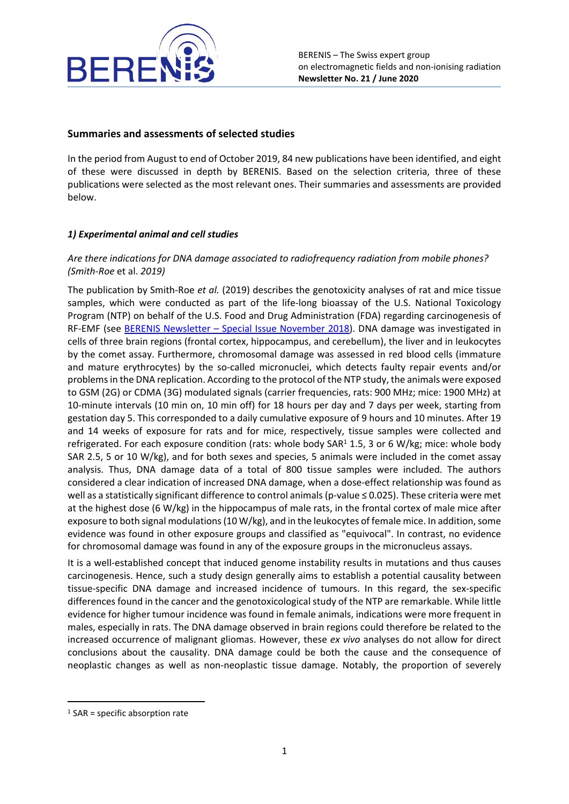

### **Summaries and assessments of selected studies**

In the period from August to end of October 2019, 84 new publications have been identified, and eight of these were discussed in depth by BERENIS. Based on the selection criteria, three of these publications were selected as the most relevant ones. Their summaries and assessments are provided below.

### *1) Experimental animal and cell studies*

### *Are there indications for DNA damage associated to radiofrequency radiation from mobile phones? (Smith-Roe* et al. *2019)*

The publication by Smith-Roe *et al.* (2019) describes the genotoxicity analyses of rat and mice tissue samples, which were conducted as part of the life-long bioassay of the U.S. National Toxicology Program (NTP) on behalf of the U.S. Food and Drug Administration (FDA) regarding carcinogenesis of RF-EMF (see [BERENIS Newsletter – Special Issue November 2018\)](https://www.bafu.admin.ch/bafu/en/home/topics/electrosmog/newsletter-of-the-swiss-expert-group-on-electromagnetic-fields-a.html). DNA damage was investigated in cells of three brain regions (frontal cortex, hippocampus, and cerebellum), the liver and in leukocytes by the comet assay. Furthermore, chromosomal damage was assessed in red blood cells (immature and mature erythrocytes) by the so-called micronuclei, which detects faulty repair events and/or problems in the DNA replication. According to the protocol of the NTP study, the animals were exposed to GSM (2G) or CDMA (3G) modulated signals (carrier frequencies, rats: 900 MHz; mice: 1900 MHz) at 10-minute intervals (10 min on, 10 min off) for 18 hours per day and 7 days per week, starting from gestation day 5. This corresponded to a daily cumulative exposure of 9 hours and 10 minutes. After 19 and 14 weeks of exposure for rats and for mice, respectively, tissue samples were collected and refrigerated. For each exposure condition (rats: whole body SAR<sup>1</sup> 1.5, 3 or 6 W/kg; mice: whole body SAR 2.5, 5 or 10 W/kg), and for both sexes and species, 5 animals were included in the comet assay analysis. Thus, DNA damage data of a total of 800 tissue samples were included. The authors considered a clear indication of increased DNA damage, when a dose-effect relationship was found as well as a statistically significant difference to control animals (p-value ≤ 0.025). These criteria were met at the highest dose (6 W/kg) in the hippocampus of male rats, in the frontal cortex of male mice after exposure to both signal modulations (10 W/kg), and in the leukocytes of female mice. In addition, some evidence was found in other exposure groups and classified as "equivocal". In contrast, no evidence for chromosomal damage was found in any of the exposure groups in the micronucleus assays.

It is a well-established concept that induced genome instability results in mutations and thus causes carcinogenesis. Hence, such a study design generally aims to establish a potential causality between tissue-specific DNA damage and increased incidence of tumours. In this regard, the sex-specific differences found in the cancer and the genotoxicological study of the NTP are remarkable. While little evidence for higher tumour incidence was found in female animals, indications were more frequent in males, especially in rats. The DNA damage observed in brain regions could therefore be related to the increased occurrence of malignant gliomas. However, these *ex vivo* analyses do not allow for direct conclusions about the causality. DNA damage could be both the cause and the consequence of neoplastic changes as well as non-neoplastic tissue damage. Notably, the proportion of severely

 $1$  SAR = specific absorption rate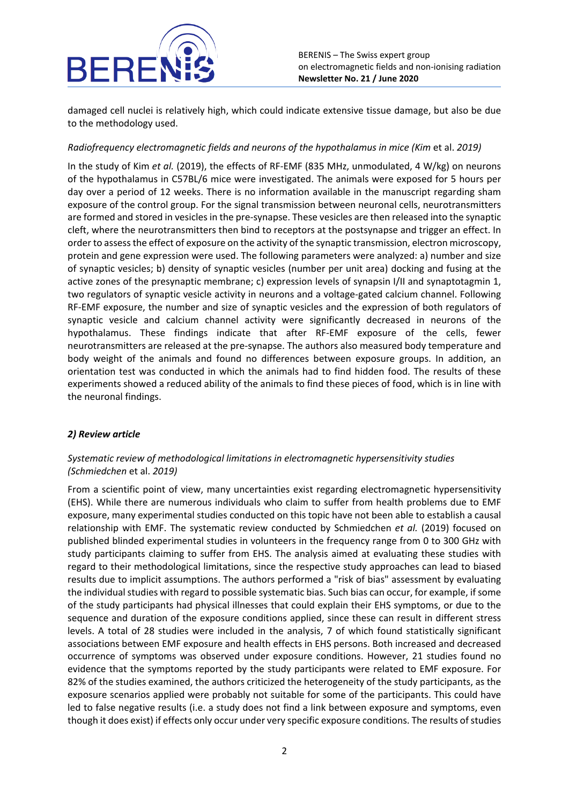

damaged cell nuclei is relatively high, which could indicate extensive tissue damage, but also be due to the methodology used.

#### *Radiofrequency electromagnetic fields and neurons of the hypothalamus in mice (Kim* et al. *2019)*

In the study of Kim *et al.* (2019), the effects of RF-EMF (835 MHz, unmodulated, 4 W/kg) on neurons of the hypothalamus in C57BL/6 mice were investigated. The animals were exposed for 5 hours per day over a period of 12 weeks. There is no information available in the manuscript regarding sham exposure of the control group. For the signal transmission between neuronal cells, neurotransmitters are formed and stored in vesicles in the pre-synapse. These vesicles are then released into the synaptic cleft, where the neurotransmitters then bind to receptors at the postsynapse and trigger an effect. In order to assess the effect of exposure on the activity of the synaptic transmission, electron microscopy, protein and gene expression were used. The following parameters were analyzed: a) number and size of synaptic vesicles; b) density of synaptic vesicles (number per unit area) docking and fusing at the active zones of the presynaptic membrane; c) expression levels of synapsin I/II and synaptotagmin 1, two regulators of synaptic vesicle activity in neurons and a voltage-gated calcium channel. Following RF-EMF exposure, the number and size of synaptic vesicles and the expression of both regulators of synaptic vesicle and calcium channel activity were significantly decreased in neurons of the hypothalamus. These findings indicate that after RF-EMF exposure of the cells, fewer neurotransmitters are released at the pre-synapse. The authors also measured body temperature and body weight of the animals and found no differences between exposure groups. In addition, an orientation test was conducted in which the animals had to find hidden food. The results of these experiments showed a reduced ability of the animals to find these pieces of food, which is in line with the neuronal findings.

# *2) Review article*

# *Systematic review of methodological limitations in electromagnetic hypersensitivity studies (Schmiedchen* et al. *2019)*

From a scientific point of view, many uncertainties exist regarding electromagnetic hypersensitivity (EHS). While there are numerous individuals who claim to suffer from health problems due to EMF exposure, many experimental studies conducted on this topic have not been able to establish a causal relationship with EMF. The systematic review conducted by Schmiedchen *et al.* (2019) focused on published blinded experimental studies in volunteers in the frequency range from 0 to 300 GHz with study participants claiming to suffer from EHS. The analysis aimed at evaluating these studies with regard to their methodological limitations, since the respective study approaches can lead to biased results due to implicit assumptions. The authors performed a "risk of bias" assessment by evaluating the individual studies with regard to possible systematic bias. Such bias can occur, for example, if some of the study participants had physical illnesses that could explain their EHS symptoms, or due to the sequence and duration of the exposure conditions applied, since these can result in different stress levels. A total of 28 studies were included in the analysis, 7 of which found statistically significant associations between EMF exposure and health effects in EHS persons. Both increased and decreased occurrence of symptoms was observed under exposure conditions. However, 21 studies found no evidence that the symptoms reported by the study participants were related to EMF exposure. For 82% of the studies examined, the authors criticized the heterogeneity of the study participants, as the exposure scenarios applied were probably not suitable for some of the participants. This could have led to false negative results (i.e. a study does not find a link between exposure and symptoms, even though it does exist) if effects only occur under very specific exposure conditions. The results of studies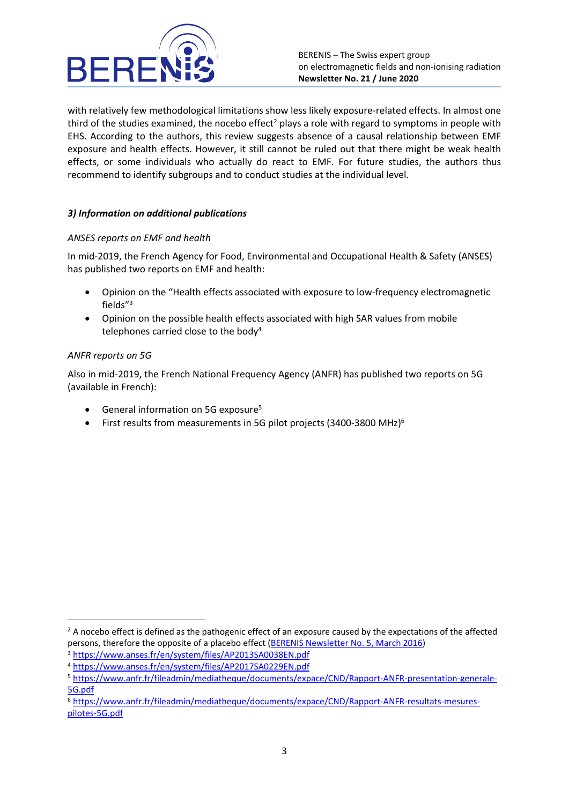

with relatively few methodological limitations show less likely exposure-related effects. In almost one third of the studies examined, the nocebo effect<sup>2</sup> plays a role with regard to symptoms in people with EHS. According to the authors, this review suggests absence of a causal relationship between EMF exposure and health effects. However, it still cannot be ruled out that there might be weak health effects, or some individuals who actually do react to EMF. For future studies, the authors thus recommend to identify subgroups and to conduct studies at the individual level.

# *3) Information on additional publications*

### *ANSES reports on EMF and health*

In mid-2019, the French Agency for Food, Environmental and Occupational Health & Safety (ANSES) has published two reports on EMF and health:

- Opinion on the "Health effects associated with exposure to low-frequency electromagnetic fields"<sup>3</sup>
- Opinion on the possible health effects associated with high SAR values from mobile telephones carried close to the body<sup>4</sup>

### *ANFR reports on 5G*

Also in mid-2019, the French National Frequency Agency (ANFR) has published two reports on 5G (available in French):

- **General information on 5G exposure<sup>5</sup>**
- First results from measurements in 5G pilot projects (3400-3800 MHz)<sup>6</sup>

<sup>&</sup>lt;sup>2</sup> A nocebo effect is defined as the pathogenic effect of an exposure caused by the expectations of the affected persons, therefore the opposite of a placebo effect [\(BERENIS Newsletter No. 5, March 2016](https://www.bafu.admin.ch/bafu/en/home/topics/electrosmog/newsletter-of-the-swiss-expert-group-on-electromagnetic-fields-a.html))

<sup>3</sup> <https://www.anses.fr/en/system/files/AP2013SA0038EN.pdf>

<sup>4</sup> <https://www.anses.fr/en/system/files/AP2017SA0229EN.pdf>

<sup>5</sup> [https://www.anfr.fr/fileadmin/mediatheque/documents/expace/CND/Rapport-ANFR-presentation-generale-](https://www.anfr.fr/fileadmin/mediatheque/documents/expace/CND/Rapport-ANFR-presentation-generale-5G.pdf)[5G.pdf](https://www.anfr.fr/fileadmin/mediatheque/documents/expace/CND/Rapport-ANFR-presentation-generale-5G.pdf)

<sup>6</sup> [https://www.anfr.fr/fileadmin/mediatheque/documents/expace/CND/Rapport-ANFR-resultats-mesures](https://www.anfr.fr/fileadmin/mediatheque/documents/expace/CND/Rapport-ANFR-resultats-mesures-pilotes-5G.pdf)[pilotes-5G.pdf](https://www.anfr.fr/fileadmin/mediatheque/documents/expace/CND/Rapport-ANFR-resultats-mesures-pilotes-5G.pdf)